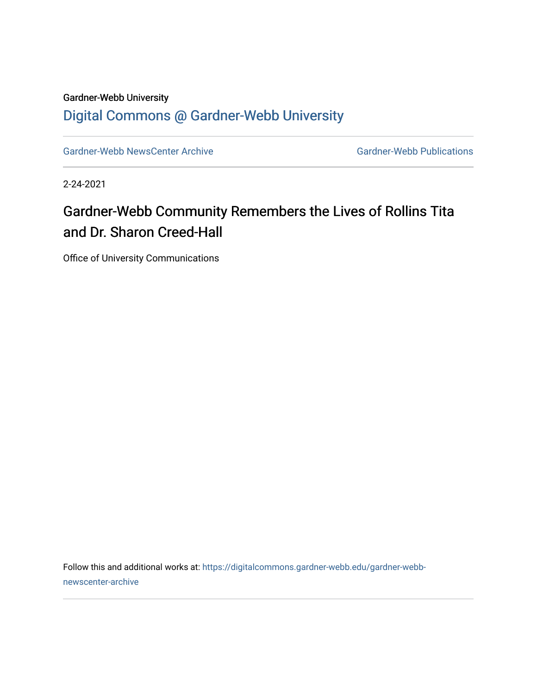#### Gardner-Webb University [Digital Commons @ Gardner-Webb University](https://digitalcommons.gardner-webb.edu/)

[Gardner-Webb NewsCenter Archive](https://digitalcommons.gardner-webb.edu/gardner-webb-newscenter-archive) Gardner-Webb Publications

2-24-2021

### Gardner-Webb Community Remembers the Lives of Rollins Tita and Dr. Sharon Creed-Hall

Office of University Communications

Follow this and additional works at: [https://digitalcommons.gardner-webb.edu/gardner-webb](https://digitalcommons.gardner-webb.edu/gardner-webb-newscenter-archive?utm_source=digitalcommons.gardner-webb.edu%2Fgardner-webb-newscenter-archive%2F2142&utm_medium=PDF&utm_campaign=PDFCoverPages)[newscenter-archive](https://digitalcommons.gardner-webb.edu/gardner-webb-newscenter-archive?utm_source=digitalcommons.gardner-webb.edu%2Fgardner-webb-newscenter-archive%2F2142&utm_medium=PDF&utm_campaign=PDFCoverPages)